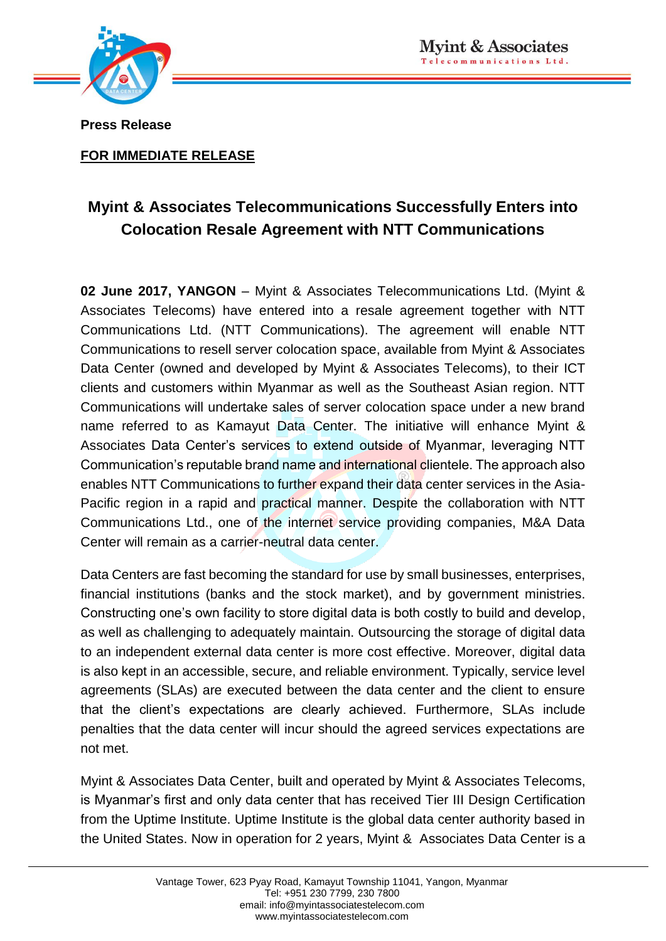

**Press Release**

**FOR IMMEDIATE RELEASE**

## **Myint & Associates Telecommunications Successfully Enters into Colocation Resale Agreement with NTT Communications**

**02 June 2017, YANGON** – Myint & Associates Telecommunications Ltd. (Myint & Associates Telecoms) have entered into a resale agreement together with NTT Communications Ltd. (NTT Communications). The agreement will enable NTT Communications to resell server colocation space, available from Myint & Associates Data Center (owned and developed by Myint & Associates Telecoms), to their ICT clients and customers within Myanmar as well as the Southeast Asian region. NTT Communications will undertake sales of server colocation space under a new brand name referred to as Kamayut Data Center. The initiative will enhance Myint & Associates Data Center's services to extend outside of Myanmar, leveraging NTT Communication's reputable brand name and international clientele. The approach also enables NTT Communications to further expand their data center services in the Asia-Pacific region in a rapid and practical manner. Despite the collaboration with NTT Communications Ltd., one of the internet service providing companies, M&A Data Center will remain as a carrier-neutral data center.

Data Centers are fast becoming the standard for use by small businesses, enterprises, financial institutions (banks and the stock market), and by government ministries. Constructing one's own facility to store digital data is both costly to build and develop, as well as challenging to adequately maintain. Outsourcing the storage of digital data to an independent external data center is more cost effective. Moreover, digital data is also kept in an accessible, secure, and reliable environment. Typically, service level agreements (SLAs) are executed between the data center and the client to ensure that the client's expectations are clearly achieved. Furthermore, SLAs include penalties that the data center will incur should the agreed services expectations are not met.

Myint & Associates Data Center, built and operated by Myint & Associates Telecoms, is Myanmar's first and only data center that has received Tier III Design Certification from the Uptime Institute. Uptime Institute is the global data center authority based in the United States. Now in operation for 2 years, Myint & Associates Data Center is a